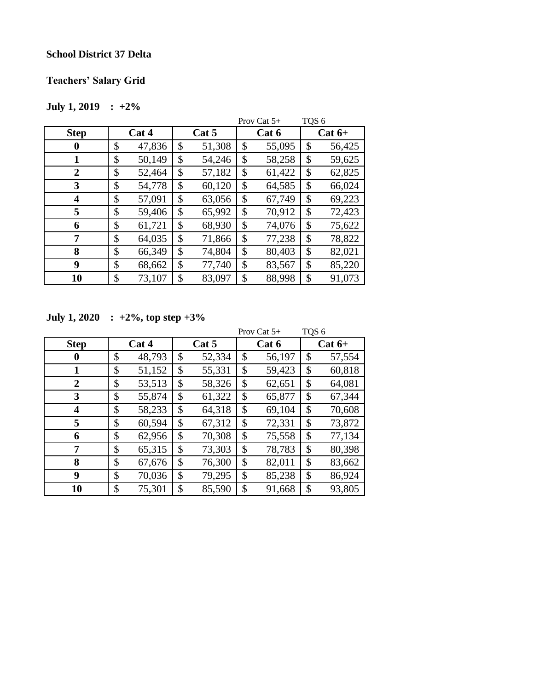#### **School District 37 Delta**

## **Teachers' Salary Grid**

## **July 1, 2019 : +2%**

|                |              |              | TQS <sub>6</sub><br>Prov Cat $5+$ |        |    |          |  |
|----------------|--------------|--------------|-----------------------------------|--------|----|----------|--|
| <b>Step</b>    | Cat 4        | Cat 5        |                                   | Cat 6  |    | $Cat 6+$ |  |
| 0              | \$<br>47,836 | \$<br>51,308 | \$                                | 55,095 | \$ | 56,425   |  |
|                | \$<br>50,149 | \$<br>54,246 | \$                                | 58,258 | \$ | 59,625   |  |
| $\overline{2}$ | \$<br>52,464 | \$<br>57,182 | \$                                | 61,422 | \$ | 62,825   |  |
| 3              | \$<br>54,778 | \$<br>60,120 | \$                                | 64,585 | \$ | 66,024   |  |
| 4              | \$<br>57,091 | \$<br>63,056 | \$                                | 67,749 | \$ | 69,223   |  |
| 5              | \$<br>59,406 | \$<br>65,992 | \$                                | 70,912 | \$ | 72,423   |  |
| 6              | \$<br>61,721 | \$<br>68,930 | \$                                | 74,076 | \$ | 75,622   |  |
| 7              | \$<br>64,035 | \$<br>71,866 | \$                                | 77,238 | \$ | 78,822   |  |
| 8              | \$<br>66,349 | \$<br>74,804 | \$                                | 80,403 | \$ | 82,021   |  |
| 9              | \$<br>68,662 | \$<br>77,740 | \$                                | 83,567 | \$ | 85,220   |  |
| 10             | \$<br>73,107 | \$<br>83,097 | \$                                | 88,998 | \$ | 91,073   |  |

**July 1, 2020 : +2%, top step +3%**

|                |              |       |        |       | Prov Cat $5+$ | TQS <sub>6</sub> |        |
|----------------|--------------|-------|--------|-------|---------------|------------------|--------|
| <b>Step</b>    | Cat 4        | Cat 5 |        | Cat 6 |               | $Cat 6+$         |        |
| 0              | \$<br>48,793 | \$    | 52,334 | \$    | 56,197        | \$               | 57,554 |
| 1              | \$<br>51,152 | \$    | 55,331 | \$    | 59,423        | \$               | 60,818 |
| $\overline{2}$ | \$<br>53,513 | \$    | 58,326 | \$    | 62,651        | \$               | 64,081 |
| 3              | \$<br>55,874 | \$    | 61,322 | \$    | 65,877        | \$               | 67,344 |
| 4              | \$<br>58,233 | \$    | 64,318 | \$    | 69,104        | \$               | 70,608 |
| 5              | \$<br>60,594 | \$    | 67,312 | \$    | 72,331        | \$               | 73,872 |
| 6              | \$<br>62,956 | \$    | 70,308 | \$    | 75,558        | \$               | 77,134 |
| 7              | \$<br>65,315 | \$    | 73,303 | \$    | 78,783        | \$               | 80,398 |
| 8              | \$<br>67,676 | \$    | 76,300 | \$    | 82,011        | \$               | 83,662 |
| 9              | \$<br>70,036 | \$    | 79,295 | \$    | 85,238        | \$               | 86,924 |
| 10             | \$<br>75,301 | \$    | 85,590 | \$    | 91,668        | \$               | 93,805 |